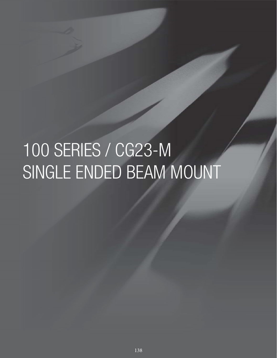# 100 SERIES / CG23-M SINGLE ENDED BEAM MOUNT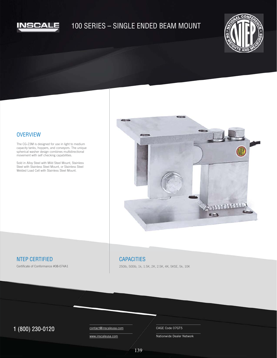

## 100 SERIES – SINGLE ENDED BEAM MOUNT



#### **OVERVIEW**

The CG-23M is designed for use in light to medium capacity tanks, hoppers, and conveyors. The unique spherical washer design combines multidirectional movement with self checking capabilities.

Sold in Alloy Steel with Mild Steel Mount, Stainless Steel with Stainless Steel Mount, or Stainless Steel Welded Load Cell with Stainless Steel Mount.



#### NTEP CERTIFIED

Certificate of Conformance #08-074A1

## **CAPACITIES**

250lb, 500lb, 1k, 1.5K, 2K, 2.5K, 4K, 5KSE, 5k, 10K

## $1 (800) 230-0120$  Contact@inscaleusa.com CAGE Code 07GT5

contact@inscaleusa.com www.inscaleusa.com

Nationwide Dealer Network

139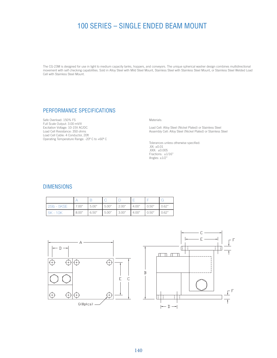## 100 SERIES – SINGLE ENDED BEAM MOUNT

The CG-23M is designed for use in light to medium capacity tanks, hoppers, and conveyors. The unique spherical washer design combines multidirectional movement with self checking capabilities. Sold in Alloy Steel with Mild Steel Mount, Stainless Steel with Stainless Steel Mount, or Stainless Steel Welded Load Cell with Stainless Steel Mount.

## PERFORMANCE SPECIFICATIONS

Safe Overload: 150% FS Full Scale Output: 3.00 mV/V Excitation Voltage: 10-15V AC/DC Load Cell Resistance: 350 ohms Load Cell Cable: 4 Conductor, 20ft Operating Temperature Range: -20º C to +60º C

Materials:

Load Cell: Alloy Steel (Nickel Plated) or Stainless Steel Assembly Cell: Alloy Steel (Nickel Plated) or Stainless Steel

Tolerances unless otherwise specified: .XX: ±0.01 .XXX: ±0.005 Fractions: ±1/16" Angles:  $\pm 1/2$ "

#### DIMENSIONS

|  | 25lb - 5KSE | 7.00" | 5.00" | 5.00" | 2.00" | 4.00" | 0.50" | 0.62" |
|--|-------------|-------|-------|-------|-------|-------|-------|-------|
|  | 5K - 10K    | 8.00" | 6.50" | 5.00" | 3.00" | 4.00" | 0.50" | 0.62" |